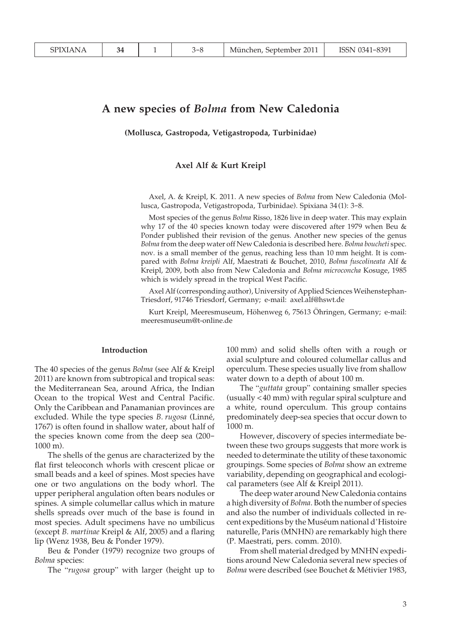# **A new species of** *Bolma* **from New Caledonia**

**(Mollusca, Gastropoda, Vetigastropoda, Turbinidae)**

### **Axel Alf & Kurt Kreipl**

Axel, A. & Kreipl, K. 2011. A new species of *Bolma* from New Caledonia (Mollusca, Gastropoda, Vetigastropoda, Turbinidae). Spixiana 34 (1): 3-8.

Most species of the genus *Bolma* Risso, 1826 live in deep water. This may explain why 17 of the 40 species known today were discovered after 1979 when Beu & Ponder published their revision of the genus. Another new species of the genus *Bolma* from the deep water off New Caledonia is described here. *Bolma boucheti* spec. nov. is a small member of the genus, reaching less than 10 mm height. It is compared with *Bolma kreipli* Alf, Maestrati & Bouchet, 2010, *Bolma fuscolineata* Alf & Kreipl, 2009, both also from New Caledonia and *Bolma microconcha* Kosuge, 1985 which is widely spread in the tropical West Pacific.

Axel Alf (corresponding author), University of Applied Sciences Weihenstephan-Triesdorf, 91746 Triesdorf, Germany; e-mail: axel.alf@hswt.de

Kurt Kreipl, Meeresmuseum, Höhenweg 6, 75613 Öhringen, Germany; e-mail: meeresmuseum@t-online.de

#### **Introduction**

The 40 species of the genus *Bolma* (see Alf & Kreipl 2011) are known from subtropical and tropical seas: the Mediterranean Sea, around Africa, the Indian Ocean to the tropical West and Central Pacific. Only the Caribbean and Panamanian provinces are excluded. While the type species *B. rugosa* (Linné, 1767) is often found in shallow water, about half of the species known come from the deep sea (200- 1000 m).

 The shells of the genus are characterized by the flat first teleoconch whorls with crescent plicae or small beads and a keel of spines. Most species have one or two angulations on the body whorl. The upper peripheral angulation often bears nodules or spines. A simple columellar callus which in mature shells spreads over much of the base is found in most species. Adult specimens have no umbilicus (except *B. martinae* Kreipl & Alf, 2005) and a flaring lip (Wenz 1938, Beu & Ponder 1979).

 Beu & Ponder (1979) recognize two groups of *Bolma* species:

The "*rugosa* group" with larger (height up to

100 mm) and solid shells often with a rough or axial sculpture and coloured columellar callus and operculum. These species usually live from shallow water down to a depth of about 100 m.

 The "*guttata* group" containing smaller species (usually < 40 mm) with regular spiral sculpture and a white, round operculum. This group contains predominately deep-sea species that occur down to 1000 m.

 However, discovery of species intermediate between these two groups suggests that more work is needed to determinate the utility of these taxonomic groupings. Some species of *Bolma* show an extreme variability, depending on geographical and ecological parameters (see Alf & Kreipl 2011).

 The deep water around New Caledonia contains a high diversity of *Bolma*. Both the number of species and also the number of individuals collected in recent expeditions by the Muséum national d'Histoire naturelle, Paris (MNHN) are remarkably high there (P. Maestrati, pers. comm. 2010).

 From shell material dredged by MNHN expeditions around New Caledonia several new species of *Bolma* were described (see Bouchet & Métivier 1983,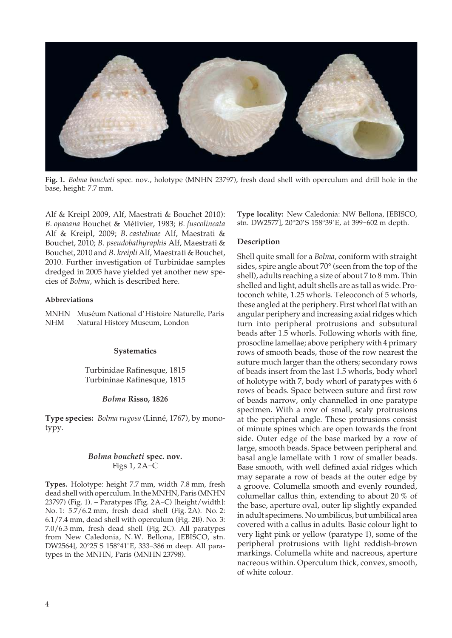

**Fig. 1.** *Bolma boucheti* spec. nov., holotype (MNHN 23797), fresh dead shell with operculum and drill hole in the base, height: 7.7 mm.

Alf & Kreipl 2009, Alf, Maestrati & Bouchet 2010): *B. opaoana* Bouchet & Métivier, 1983; *B. fuscolineata* Alf & Kreipl, 2009; *B. castelinae* Alf, Maestrati & Bouchet, 2010; *B. pseudobathyraphis* Alf, Maestrati & Bouchet, 2010 and *B. kreipli* Alf, Maestrati & Bouchet, 2010. Further investigation of Turbinidae samples dredged in 2005 have yielded yet another new species of *Bolma*, which is described here.

#### **Abbreviations**

|     | MNHN Muséum National d'Histoire Naturelle, Paris |
|-----|--------------------------------------------------|
| NHM | Natural History Museum, London                   |

## **Systematics**

Turbinidae Rafinesque, 1815 Turbininae Rafinesque, 1815

### *Bolma* **Risso, 1826**

**Type species:** *Bolma rugosa* (Linné, 1767), by monotypy.

# *Bolma boucheti* **spec. nov.** Figs 1, 2A-C

**Types.** Holotype: height 7.7 mm, width 7.8 mm, fresh dead shell with operculum. In the MNHN, Paris (MNHN 23797) (Fig. 1). – Paratypes (Fig. 2A-C) [height/width]: No. 1: 5.7/6.2 mm, fresh dead shell (Fig. 2A). No. 2: 6.1/7.4 mm, dead shell with operculum (Fig. 2B). No. 3: 7.0/6.3 mm, fresh dead shell (Fig. 2C). All paratypes from New Caledonia, N. W. Bellona, [EBISCO, stn. DW2564], 20°25' S 158°41' E, 333-386 m deep. All paratypes in the MNHN, Paris (MNHN 23798).

**Type locality:** New Caledonia: NW Bellona, [EBISCO, stn. DW2577], 20°20' S 158°39' E, at 399-602 m depth.

## **Description**

Shell quite small for a *Bolma*, coniform with straight sides, spire angle about 70° (seen from the top of the shell), adults reaching a size of about 7 to 8 mm. Thin shelled and light, adult shells are as tall as wide. Protoconch white, 1.25 whorls. Teleoconch of 5 whorls, these angled at the periphery. First whorl flat with an angular periphery and increasing axial ridges which turn into peripheral protrusions and subsutural beads after 1.5 whorls. Following whorls with fine, prosocline lamellae; above periphery with 4 primary rows of smooth beads, those of the row nearest the suture much larger than the others; secondary rows of beads insert from the last 1.5 whorls, body whorl of holotype with 7, body whorl of paratypes with 6 rows of beads. Space between suture and first row of beads narrow, only channelled in one paratype specimen. With a row of small, scaly protrusions at the peripheral angle. These protrusions consist of minute spines which are open towards the front side. Outer edge of the base marked by a row of large, smooth beads. Space between peripheral and basal angle lamellate with 1 row of smaller beads. Base smooth, with well defined axial ridges which may separate a row of beads at the outer edge by a groove. Columella smooth and evenly rounded, columellar callus thin, extending to about 20 % of the base, aperture oval, outer lip slightly expanded in adult specimens. No umbilicus, but umbilical area covered with a callus in adults. Basic colour light to very light pink or yellow (paratype 1), some of the peripheral protrusions with light reddish-brown markings. Columella white and nacreous, aperture nacreous within. Operculum thick, convex, smooth, of white colour.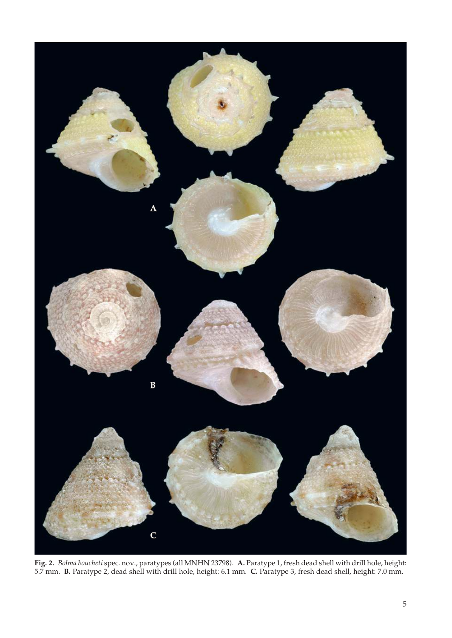

**Fig. 2.** *Bolma boucheti* spec. nov., paratypes (all MNHN 23798). **A.** Paratype 1, fresh dead shell with drill hole, height: 5.7 mm. **B.** Paratype 2, dead shell with drill hole, height: 6.1 mm. **C.** Paratype 3, fresh dead shell, height: 7.0 mm.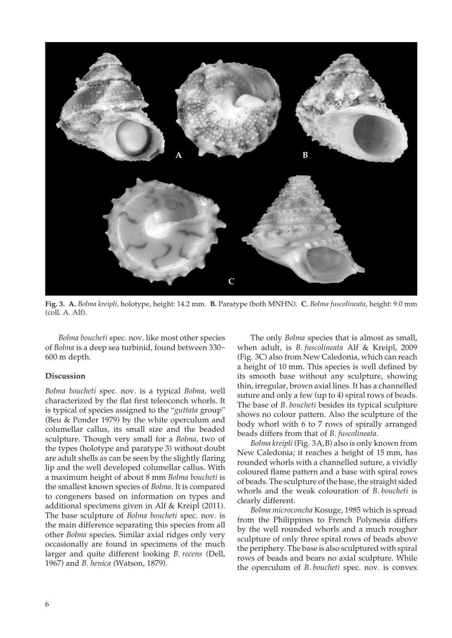

**Fig. 3. A.** *Bolma kreipli*, holotype, height: 14.2 mm. **B.** Paratype (both MNHN). **C.** *Bolma fuscolineata*, height: 9.0 mm (coll. A. Alf).

 *Bolma boucheti* spec. nov. like most other species of *Bolma* is a deep sea turbinid, found between 330- 600 m depth.

### **Discussion**

*Bolma boucheti* spec. nov. is a typical *Bolma*, well characterized by the flat first teleoconch whorls. It is typical of species assigned to the "*guttata* group" (Beu & Ponder 1979) by the white operculum and columellar callus, its small size and the beaded sculpture. Though very small for a *Bolma*, two of the types (holotype and paratype 3) without doubt are adult shells as can be seen by the slightly flaring lip and the well developed columellar callus. With a maximum height of about 8 mm *Bolma boucheti* is the smallest known species of *Bolma*. It is compared to congeners based on information on types and additional specimens given in Alf & Kreipl (2011). The base sculpture of *Bolma boucheti* spec. nov. is the main difference separating this species from all other *Bolma* species. Similar axial ridges only very occasionally are found in specimens of the much larger and quite different looking *B. recens* (Dell, 1967) and *B. henica* (Watson, 1879).

 The only *Bolma* species that is almost as small, when adult, is *B. fuscolineata* Alf & Kreipl, 2009 (Fig. 3C) also from New Caledonia, which can reach a height of 10 mm. This species is well defined by its smooth base without any sculpture, showing thin, irregular, brown axial lines. It has a channelled suture and only a few (up to 4) spiral rows of beads. The base of *B. boucheti* besides its typical sculpture shows no colour pattern. Also the sculpture of the body whorl with 6 to 7 rows of spirally arranged beads differs from that of *B. fuscolineata*.

 *Bolma kreipli* (Fig. 3A,B) also is only known from New Caledonia; it reaches a height of 15 mm, has rounded whorls with a channelled suture, a vividly coloured flame pattern and a base with spiral rows of beads. The sculpture of the base, the straight sided whorls and the weak colouration of *B. boucheti* is clearly different.

 *Bolma microconcha* Kosuge, 1985 which is spread from the Philippines to French Polynesia differs by the well rounded whorls and a much rougher sculpture of only three spiral rows of beads above the periphery. The base is also sculptured with spiral rows of beads and bears no axial sculpture. While the operculum of *B. boucheti* spec. nov. is convex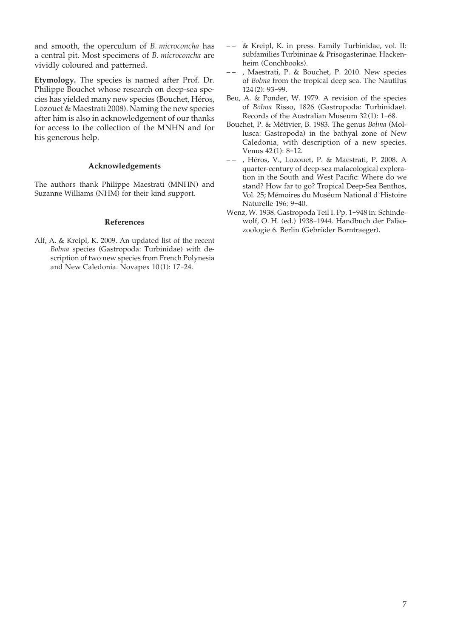and smooth, the operculum of *B. microconcha* has a central pit. Most specimens of *B. microconcha* are vividly coloured and patterned.

**Etymology.** The species is named after Prof. Dr. Philippe Bouchet whose research on deep-sea species has yielded many new species (Bouchet, Héros, Lozouet & Maestrati 2008). Naming the new species after him is also in acknowledgement of our thanks for access to the collection of the MNHN and for his generous help.

## **Acknowledgements**

The authors thank Philippe Maestrati (MNHN) and Suzanne Williams (NHM) for their kind support.

# **References**

Alf, A. & Kreipl, K. 2009. An updated list of the recent *Bolma* species (Gastropoda: Turbinidae) with description of two new species from French Polynesia and New Caledonia. Novapex 10 (1): 17-24.

- – & Kreipl, K. in press. Family Turbinidae, vol. II: subfamilies Turbininae & Prisogasterinae. Hackenheim (Conchbooks).
- – , Maestrati, P. & Bouchet, P. 2010. New species of *Bolma* from the tropical deep sea. The Nautilus 124 (2): 93-99.
- Beu, A. & Ponder, W. 1979. A revision of the species of *Bolma* Risso, 1826 (Gastropoda: Turbinidae). Records of the Australian Museum 32 (1): 1-68.
- Bouchet, P. & Métivier, B. 1983. The genus *Bolma* (Mollusca: Gastropoda) in the bathyal zone of New Caledonia, with description of a new species. Venus 42 (1): 8-12.
- – , Héros, V., Lozouet, P. & Maestrati, P. 2008. A quarter-century of deep-sea malacological exploration in the South and West Pacific: Where do we stand? How far to go? Tropical Deep-Sea Benthos, Vol. 25; Mémoires du Muséum National d'Histoire Naturelle 196: 9-40.
- Wenz, W. 1938. Gastropoda Teil I. Pp. 1-948 in: Schindewolf, O. H. (ed.) 1938-1944. Handbuch der Paläozoologie 6. Berlin (Gebrüder Borntraeger).